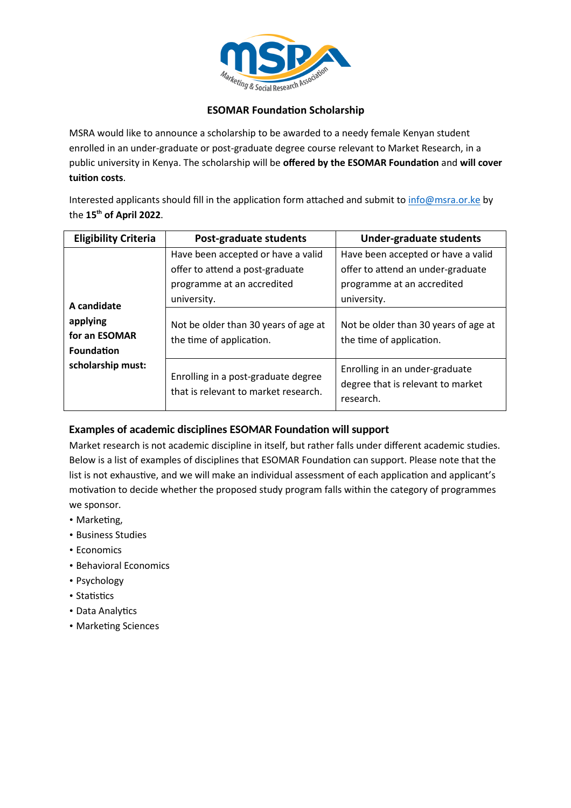

## **ESOMAR Foundation Scholarship**

MSRA would like to announce a scholarship to be awarded to a needy female Kenyan student enrolled in an under-graduate or post-graduate degree course relevant to Market Research, in a public university in Kenya. The scholarship will be offered by the ESOMAR Foundation and will cover **tuion costs**.

Interested applicants should fill in the application form attached and submit to info@msra.or.ke by the **15th of April 2022**.

| <b>Eligibility Criteria</b>                                                        | Post-graduate students                                                                                                                                                                 | <b>Under-graduate students</b>                                                                                                                                                           |
|------------------------------------------------------------------------------------|----------------------------------------------------------------------------------------------------------------------------------------------------------------------------------------|------------------------------------------------------------------------------------------------------------------------------------------------------------------------------------------|
| A candidate<br>applying<br>for an ESOMAR<br><b>Foundation</b><br>scholarship must: | Have been accepted or have a valid<br>offer to attend a post-graduate<br>programme at an accredited<br>university.<br>Not be older than 30 years of age at<br>the time of application. | Have been accepted or have a valid<br>offer to attend an under-graduate<br>programme at an accredited<br>university.<br>Not be older than 30 years of age at<br>the time of application. |
|                                                                                    | Enrolling in a post-graduate degree<br>that is relevant to market research.                                                                                                            | Enrolling in an under-graduate<br>degree that is relevant to market<br>research.                                                                                                         |

# **Examples of academic disciplines ESOMAR Foundation will support**

Market research is not academic discipline in itself, but rather falls under different academic studies. Below is a list of examples of disciplines that ESOMAR Foundation can support. Please note that the list is not exhaustive, and we will make an individual assessment of each application and applicant's motivation to decide whether the proposed study program falls within the category of programmes we sponsor.

- Marketing,
- Business Studies
- Economics
- Behavioral Economics
- Psychology
- Statistics
- Data Analytics
- Marketing Sciences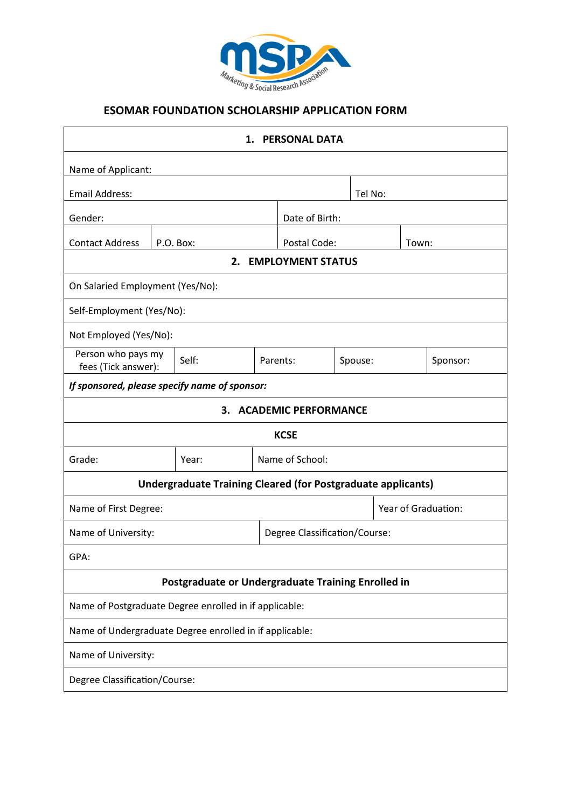

| <b>PERSONAL DATA</b><br>1.                              |  |                                                                     |  |                               |  |         |                     |          |  |
|---------------------------------------------------------|--|---------------------------------------------------------------------|--|-------------------------------|--|---------|---------------------|----------|--|
| Name of Applicant:                                      |  |                                                                     |  |                               |  |         |                     |          |  |
| <b>Email Address:</b>                                   |  |                                                                     |  | Tel No:                       |  |         |                     |          |  |
| Gender:                                                 |  |                                                                     |  | Date of Birth:                |  |         |                     |          |  |
| <b>Contact Address</b>                                  |  | P.O. Box:                                                           |  | Postal Code:<br>Town:         |  |         |                     |          |  |
| <b>EMPLOYMENT STATUS</b><br>2.                          |  |                                                                     |  |                               |  |         |                     |          |  |
| On Salaried Employment (Yes/No):                        |  |                                                                     |  |                               |  |         |                     |          |  |
| Self-Employment (Yes/No):                               |  |                                                                     |  |                               |  |         |                     |          |  |
| Not Employed (Yes/No):                                  |  |                                                                     |  |                               |  |         |                     |          |  |
| Person who pays my<br>fees (Tick answer):               |  | Self:                                                               |  | Parents:                      |  | Spouse: |                     | Sponsor: |  |
| If sponsored, please specify name of sponsor:           |  |                                                                     |  |                               |  |         |                     |          |  |
| 3.<br><b>ACADEMIC PERFORMANCE</b>                       |  |                                                                     |  |                               |  |         |                     |          |  |
| <b>KCSE</b>                                             |  |                                                                     |  |                               |  |         |                     |          |  |
| Grade:                                                  |  | Year:                                                               |  | Name of School:               |  |         |                     |          |  |
|                                                         |  | <b>Undergraduate Training Cleared (for Postgraduate applicants)</b> |  |                               |  |         |                     |          |  |
| Name of First Degree:                                   |  |                                                                     |  |                               |  |         | Year of Graduation: |          |  |
| Name of University:                                     |  |                                                                     |  | Degree Classification/Course: |  |         |                     |          |  |
| GPA:                                                    |  |                                                                     |  |                               |  |         |                     |          |  |
| Postgraduate or Undergraduate Training Enrolled in      |  |                                                                     |  |                               |  |         |                     |          |  |
| Name of Postgraduate Degree enrolled in if applicable:  |  |                                                                     |  |                               |  |         |                     |          |  |
| Name of Undergraduate Degree enrolled in if applicable: |  |                                                                     |  |                               |  |         |                     |          |  |
| Name of University:                                     |  |                                                                     |  |                               |  |         |                     |          |  |
| <b>Degree Classification/Course:</b>                    |  |                                                                     |  |                               |  |         |                     |          |  |